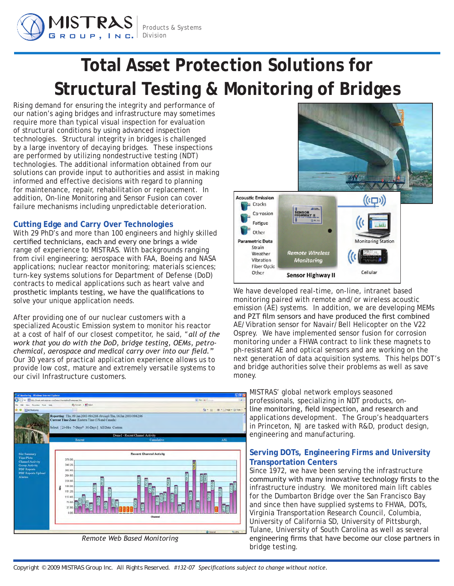

# **Total Asset Protection Solutions for Structural Testing & Monitoring of Bridges**

Rising demand for ensuring the integrity and performance of our nation's aging bridges and infrastructure may sometimes require more than typical visual inspection for evaluation of structural conditions by using advanced inspection technologies. Structural integrity in bridges is challenged by a large inventory of decaying bridges. These inspections are performed by utilizing nondestructive testing (NDT) technologies. The additional information obtained from our solutions can provide input to authorities and assist in making informed and effective decisions with regard to planning for maintenance, repair, rehabilitation or replacement. In addition, On-line Monitoring and Sensor Fusion can cover failure mechanisms including unpredictable deterioration.

## **Cutting Edge and Carry Over Technologies**

With 29 PhD's and more than 100 engineers and highly skilled certified technicians, each and every one brings a wide range of experience to MISTRAS. With backgrounds ranging from civil engineering; aerospace with FAA, Boeing and NASA applications; nuclear reactor monitoring; materials sciences; turn-key systems solutions for Department of Defense (DoD) contracts to medical applications such as heart valve and prosthetic implants testing, we have the qualifications to solve your unique application needs.

After providing one of our nuclear customers with a specialized Acoustic Emission system to monitor his reactor at a cost of half of our closest competitor, he said, "*all of the work that you do with the DoD, bridge testing, OEMs, petrochemical, aerospace and medical carry over into our field."* Our 30 years of practical application experience allows us to provide low cost, mature and extremely versatile systems to our civil Infrastructure customers.



*Remote Web Based Monitoring*



We have developed real-time, on-line, intranet based monitoring paired with remote and/or wireless acoustic emission (AE) systems. In addition, we are developing MEMs and PZT film sensors and have produced the first combined AE/Vibration sensor for Navair/Bell Helicopter on the V22 Osprey. We have implemented sensor fusion for corrosion monitoring under a FHWA contract to link these magnets to ph-resistant AE and optical sensors and are working on the next generation of data acquisition systems. This helps DOT's and bridge authorities solve their problems as well as save money.

MISTRAS' global network employs seasoned professionals, specializing in NDT products, online monitoring, field inspection, and research and applications development. The Group's headquarters in Princeton, NJ are tasked with R&D, product design, engineering and manufacturing.

## **Serving DOTs, Engineering Firms and University Transportation Centers**

Since 1972, we have been serving the infrastructure community with many innovative technology firsts to the infrastructure industry. We monitored main lift cables for the Dumbarton Bridge over the San Francisco Bay and since then have supplied systems to FHWA, DOTs, Virginia Transportation Research Council, Columbia, University of California SD, University of Pittsburgh, Tulane, University of South Carolina as well as several engineering firms that have become our close partners in bridge testing.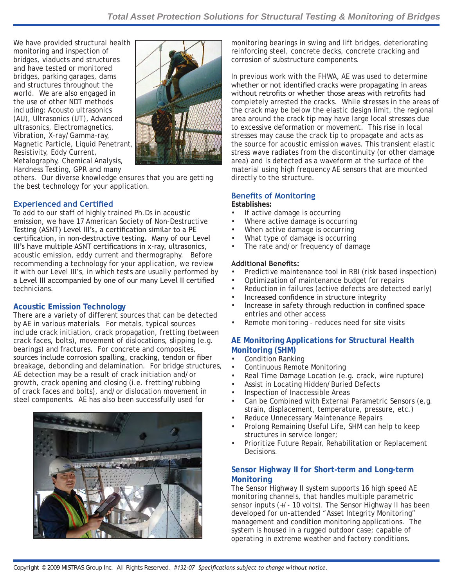We have provided structural health monitoring and inspection of bridges, viaducts and structures and have tested or monitored bridges, parking garages, dams and structures throughout the world. We are also engaged in the use of other NDT methods including: Acousto ultrasonics (AU), Ultrasonics (UT), Advanced ultrasonics, Electromagnetics, Vibration, X-ray/Gamma-ray, Magnetic Particle, Liquid Penetrant, Resistivity, Eddy Current, Metalography, Chemical Analysis, Hardness Testing, GPR and many



others. Our diverse knowledge ensures that you are getting the best technology for your application.

## **Experienced and Certified**

To add to our staff of highly trained Ph.Ds in acoustic emission, we have 17 American Society of Non-Destructive Testing (ASNT) Level III's, a certification similar to a PE certification, in non-destructive testing. Many of our Level III's have multiple ASNT certifications in x-ray, ultrasonics, acoustic emission, eddy current and thermography. Before recommending a technology for your application, we review it with our Level III's, in which tests are usually performed by a Level III accompanied by one of our many Level II certified technicians.

# **Acoustic Emission Technology**

There are a variety of different sources that can be detected by AE in various materials. For metals, typical sources include crack initiation, crack propagation, fretting (between crack faces, bolts), movement of dislocations, slipping (e.g. bearings) and fractures. For concrete and composites, sources include corrosion spalling, cracking, tendon or fiber breakage, debonding and delamination. For bridge structures, AE detection may be a result of crack initiation and/or growth, crack opening and closing (i.e. fretting/rubbing of crack faces and bolts), and/or dislocation movement in steel components. AE has also been successfully used for



monitoring bearings in swing and lift bridges, deteriorating reinforcing steel, concrete decks, concrete cracking and corrosion of substructure components.

In previous work with the FHWA, AE was used to determine whether or not identified cracks were propagating in areas without retrofits or whether those areas with retrofits had completely arrested the cracks. While stresses in the areas of the crack may be below the elastic design limit, the regional area around the crack tip may have large local stresses due to excessive deformation or movement. This rise in local stresses may cause the crack tip to propagate and acts as the source for acoustic emission waves. This transient elastic stress wave radiates from the discontinuity (or other damage area) and is detected as a waveform at the surface of the material using high frequency AE sensors that are mounted directly to the structure.

## **Benefits of Monitoring**

#### **Establishes:**

- If active damage is occurring •
- Where active damage is occurring •
- When active damage is occurring •
- What type of damage is occurring •
- The rate and/or frequency of damage •

### **Additional Benefits:**

- Predictive maintenance tool in RBI (risk based inspection) •
- Optimization of maintenance budget for repairs •
- Reduction in failures (active defects are detected early) •
- Increased confidence in structure integrity •
- Increase in safety through reduction in confined space entries and other access •
- Remote monitoring reduces need for site visits •

## **AE Monitoring Applications for Structural Health Monitoring (SHM)**

- Condition Ranking •
- Continuous Remote Monitoring •
- Real Time Damage Location (e.g. crack, wire rupture) •
- Assist in Locating Hidden/Buried Defects •
- Inspection of Inaccessible Areas •
- Can be Combined with External Parametric Sensors (e.g. strain, displacement, temperature, pressure, etc.) •
- Reduce Unnecessary Maintenance Repairs •
- Prolong Remaining Useful Life, SHM can help to keep structures in service longer; •
- Prioritize Future Repair, Rehabilitation or Replacement Decisions. •

## **Sensor Highway II for Short-term and Long-term Monitoring**

The Sensor Highway II system supports 16 high speed AE monitoring channels, that handles multiple parametric sensor inputs (+/- 10 volts). The Sensor Highway II has been developed for un-attended "Asset Integrity Monitoring" management and condition monitoring applications. The system is housed in a rugged outdoor case; capable of operating in extreme weather and factory conditions.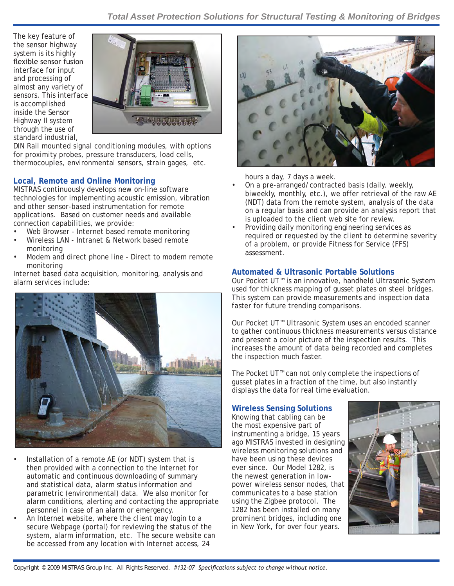The key feature of the sensor highway system is its highly flexible sensor fusion interface for input and processing of almost any variety of sensors. This interface is accomplished inside the Sensor Highway II system through the use of standard industrial,



DIN Rail mounted signal conditioning modules, with options for proximity probes, pressure transducers, load cells, thermocouples, environmental sensors, strain gages, etc.

# **Local, Remote and Online Monitoring**

MISTRAS continuously develops new on-line software technologies for implementing acoustic emission, vibration and other sensor-based instrumentation for remote applications. Based on customer needs and available connection capabilities, we provide:

- Web Browser Internet based remote monitoring •
- Wireless LAN Intranet & Network based remote monitoring •
- Modem and direct phone line Direct to modem remote monitoring •

Internet based data acquisition, monitoring, analysis and alarm services include:



- Installation of a remote AE (or NDT) system that is then provided with a connection to the Internet for automatic and continuous downloading of summary and statistical data, alarm status information and parametric (environmental) data. We also monitor for alarm conditions, alerting and contacting the appropriate personnel in case of an alarm or emergency. •
- An Internet website, where the client may login to a secure Webpage (portal) for reviewing the status of the system, alarm information, etc. The secure website can be accessed from any location with Internet access, 24 •



hours a day, 7 days a week.

- On a pre-arranged/contracted basis (daily, weekly, biweekly, monthly, etc.), we offer retrieval of the raw AE (NDT) data from the remote system, analysis of the data on a regular basis and can provide an analysis report that is uploaded to the client web site for review. •
- Providing daily monitoring engineering services as required or requested by the client to determine severity of a problem, or provide Fitness for Service (FFS) assessment. •

## **Automated & Ultrasonic Portable Solutions**

Our Pocket UT™ is an innovative, handheld Ultrasonic System used for thickness mapping of gusset plates on steel bridges. This system can provide measurements and inspection data faster for future trending comparisons.

Our Pocket UT™ Ultrasonic System uses an encoded scanner to gather continuous thickness measurements versus distance and present a color picture of the inspection results. This increases the amount of data being recorded and completes the inspection much faster.

The Pocket UT™ can not only complete the inspections of gusset plates in a fraction of the time, but also instantly displays the data for real time evaluation.

## **Wireless Sensing Solutions**

Knowing that cabling can be the most expensive part of instrumenting a bridge, 15 years ago MISTRAS invested in designing wireless monitoring solutions and have been using these devices ever since. Our Model 1282, is the newest generation in lowpower wireless sensor nodes, that communicates to a base station using the Zigbee protocol. The 1282 has been installed on many prominent bridges, including one in New York, for over four years.